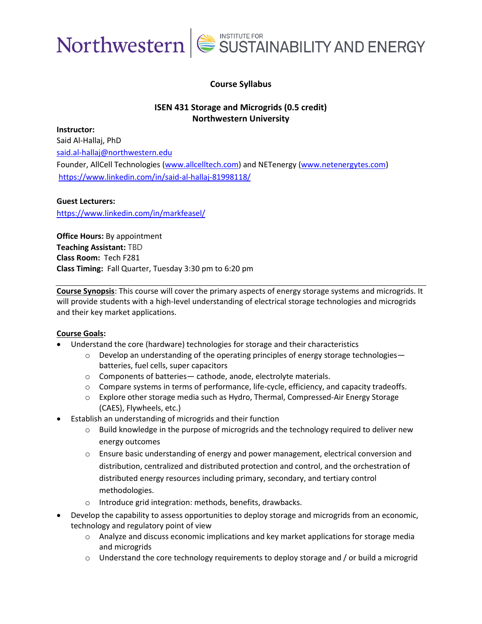

#### **Course Syllabus**

#### **ISEN 431 Storage and Microgrids (0.5 credit) Northwestern University**

**Instructor:**  Said Al-Hallaj, PhD [said.al-hallaj@northwestern.edu](mailto:said.al-hallaj@northwestern.edu) Founder, AllCell Technologies [\(www.allcelltech.com\)](http://www.allcelltech.com/) and NETenergy [\(www.netenergytes.com\)](http://www.netenergytes.com/) <https://www.linkedin.com/in/said-al-hallaj-81998118/>

#### **Guest Lecturers:**

<https://www.linkedin.com/in/markfeasel/>

**Office Hours:** By appointment **Teaching Assistant:** TBD **Class Room:** Tech F281 **Class Timing:** Fall Quarter, Tuesday 3:30 pm to 6:20 pm

**Course Synopsis**: This course will cover the primary aspects of energy storage systems and microgrids. It will provide students with a high-level understanding of electrical storage technologies and microgrids and their key market applications.

#### **Course Goals:**

- Understand the core (hardware) technologies for storage and their characteristics
	- $\circ$  Develop an understanding of the operating principles of energy storage technologies batteries, fuel cells, super capacitors
	- o Components of batteries— cathode, anode, electrolyte materials.
	- $\circ$  Compare systems in terms of performance, life-cycle, efficiency, and capacity tradeoffs.
	- o Explore other storage media such as Hydro, Thermal, Compressed-Air Energy Storage (CAES), Flywheels, etc.)
- Establish an understanding of microgrids and their function
	- $\circ$  Build knowledge in the purpose of microgrids and the technology required to deliver new energy outcomes
	- o Ensure basic understanding of energy and power management, electrical conversion and distribution, centralized and distributed protection and control, and the orchestration of distributed energy resources including primary, secondary, and tertiary control methodologies.
	- o Introduce grid integration: methods, benefits, drawbacks.
- Develop the capability to assess opportunities to deploy storage and microgrids from an economic, technology and regulatory point of view
	- o Analyze and discuss economic implications and key market applications for storage media and microgrids
	- $\circ$  Understand the core technology requirements to deploy storage and / or build a microgrid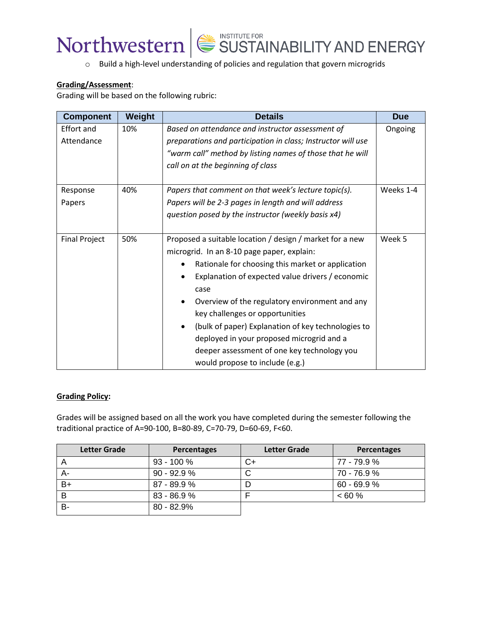



#### **Grading/Assessment**:

Grading will be based on the following rubric:

| <b>Component</b>     | Weight | <b>Details</b>                                                    | <b>Due</b> |  |
|----------------------|--------|-------------------------------------------------------------------|------------|--|
| Effort and           | 10%    | Based on attendance and instructor assessment of                  | Ongoing    |  |
| Attendance           |        | preparations and participation in class; Instructor will use      |            |  |
|                      |        | "warm call" method by listing names of those that he will         |            |  |
|                      |        | call on at the beginning of class                                 |            |  |
|                      |        |                                                                   |            |  |
| Response             | 40%    | Weeks 1-4<br>Papers that comment on that week's lecture topic(s). |            |  |
| Papers               |        | Papers will be 2-3 pages in length and will address               |            |  |
|                      |        | question posed by the instructor (weekly basis x4)                |            |  |
|                      |        |                                                                   |            |  |
| <b>Final Project</b> | 50%    | Proposed a suitable location / design / market for a new          | Week 5     |  |
|                      |        | microgrid. In an 8-10 page paper, explain:                        |            |  |
|                      |        | Rationale for choosing this market or application                 |            |  |
|                      |        | Explanation of expected value drivers / economic                  |            |  |
|                      |        | case                                                              |            |  |
|                      |        | Overview of the regulatory environment and any                    |            |  |
|                      |        | key challenges or opportunities                                   |            |  |
|                      |        | (bulk of paper) Explanation of key technologies to<br>$\bullet$   |            |  |
|                      |        | deployed in your proposed microgrid and a                         |            |  |
|                      |        | deeper assessment of one key technology you                       |            |  |
|                      |        | would propose to include (e.g.)                                   |            |  |

#### **Grading Policy:**

Grades will be assigned based on all the work you have completed during the semester following the traditional practice of A=90-100, B=80-89, C=70-79, D=60-69, F<60.

| <b>Letter Grade</b> | <b>Percentages</b> | <b>Letter Grade</b> | <b>Percentages</b> |
|---------------------|--------------------|---------------------|--------------------|
|                     | $93 - 100 \%$      | C+                  | 77 - 79.9 %        |
|                     | $90 - 92.9 %$      | ◡                   | 70 - 76.9 %        |
| B+                  | $87 - 89.9 %$      |                     | $60 - 69.9 %$      |
| B                   | 83 - 86.9%         |                     | $< 60 \%$          |
| <b>B-</b>           | $80 - 82.9%$       |                     |                    |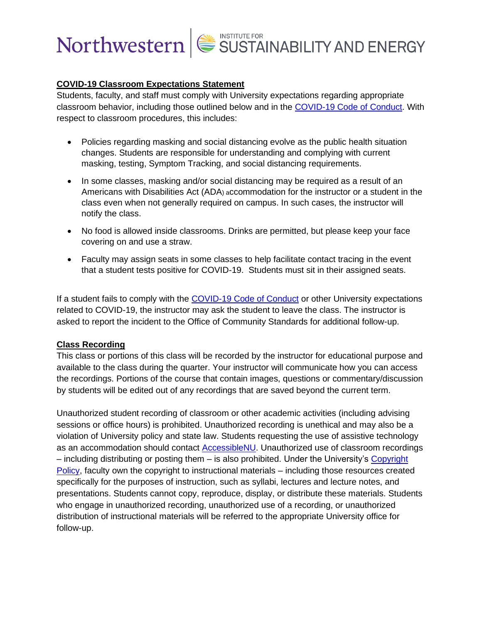## Northwestern SUSTAINABILITY AND ENERGY

#### **COVID-19 Classroom Expectations Statement**

Students, faculty, and staff must comply with University expectations regarding appropriate classroom behavior, including those outlined below and in the [COVID-19 Code of Conduct.](https://www.northwestern.edu/communitystandards/about-us/northwestern-university-student-expectations-covid-19-code-of-conduct.html) With respect to classroom procedures, this includes:

- Policies regarding masking and social distancing evolve as the public health situation changes. Students are responsible for understanding and complying with current masking, testing, Symptom Tracking, and social distancing requirements.
- In some classes, masking and/or social distancing may be required as a result of an Americans with Disabilities Act (ADA) accommodation for the instructor or a student in the class even when not generally required on campus. In such cases, the instructor will notify the class.
- No food is allowed inside classrooms. Drinks are permitted, but please keep your face covering on and use a straw.
- Faculty may assign seats in some classes to help facilitate contact tracing in the event that a student tests positive for COVID-19. Students must sit in their assigned seats.

If a student fails to comply with the [COVID-19 Code of Conduct](https://www.northwestern.edu/communitystandards/about-us/northwestern-university-student-expectations-covid-19-code-of-conduct.html) or other University expectations related to COVID-19, the instructor may ask the student to leave the class. The instructor is asked to report the incident to the Office of Community Standards for additional follow-up.

#### **Class Recording**

This class or portions of this class will be recorded by the instructor for educational purpose and available to the class during the quarter. Your instructor will communicate how you can access the recordings. Portions of the course that contain images, questions or commentary/discussion by students will be edited out of any recordings that are saved beyond the current term.

Unauthorized student recording of classroom or other academic activities (including advising sessions or office hours) is prohibited. Unauthorized recording is unethical and may also be a violation of University policy and state law. Students requesting the use of assistive technology as an accommodation should contact [AccessibleNU.](https://www.northwestern.edu/accessiblenu/) Unauthorized use of classroom recordings – including distributing or posting them – is also prohibited. Under the University's [Copyright](https://www.invo.northwestern.edu/invention-disclosure/policies-forms/copyright-policy/)  [Policy,](https://www.invo.northwestern.edu/invention-disclosure/policies-forms/copyright-policy/) faculty own the copyright to instructional materials – including those resources created specifically for the purposes of instruction, such as syllabi, lectures and lecture notes, and presentations. Students cannot copy, reproduce, display, or distribute these materials. Students who engage in unauthorized recording, unauthorized use of a recording, or unauthorized distribution of instructional materials will be referred to the appropriate University office for follow-up.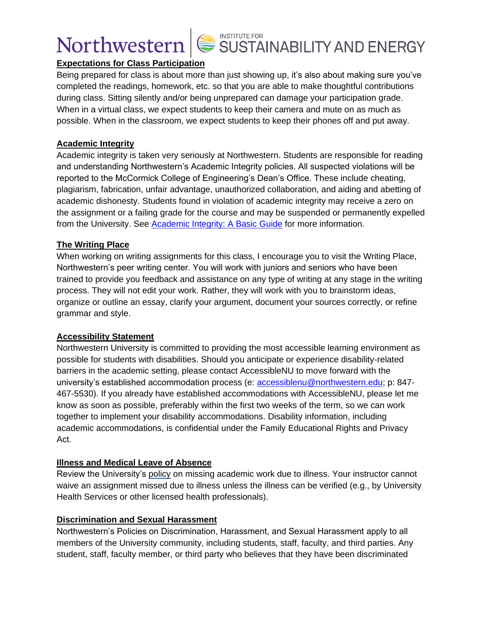

### **Expectations for Class Participation**

Being prepared for class is about more than just showing up, it's also about making sure you've completed the readings, homework, etc. so that you are able to make thoughtful contributions during class. Sitting silently and/or being unprepared can damage your participation grade. When in a virtual class, we expect students to keep their camera and mute on as much as possible. When in the classroom, we expect students to keep their phones off and put away.

#### **Academic Integrity**

Academic integrity is taken very seriously at Northwestern. Students are responsible for reading and understanding Northwestern's Academic Integrity policies. All suspected violations will be reported to the McCormick College of Engineering's Dean's Office. These include cheating, plagiarism, fabrication, unfair advantage, unauthorized collaboration, and aiding and abetting of academic dishonesty. Students found in violation of academic integrity may receive a zero on the assignment or a failing grade for the course and may be suspended or permanently expelled from the University. See [Academic Integrity: A Basic Guide](https://www.northwestern.edu/provost/policies/academic-integrity/Academic-Integrity-Guide-August-2019.pdf) for more information.

### **The Writing Place**

When working on writing assignments for this class, I encourage you to visit the Writing Place, Northwestern's peer writing center. You will work with juniors and seniors who have been trained to provide you feedback and assistance on any type of writing at any stage in the writing process. They will not edit your work. Rather, they will work with you to brainstorm ideas, organize or outline an essay, clarify your argument, document your sources correctly, or refine grammar and style.

#### **Accessibility Statement**

Northwestern University is committed to providing the most accessible learning environment as possible for students with disabilities. Should you anticipate or experience disability-related barriers in the academic setting, please contact AccessibleNU to move forward with the university's established accommodation process (e: [accessiblenu@northwestern.edu;](mailto:accessiblenu@northwestern.edu) p: 847- 467-5530). If you already have established accommodations with AccessibleNU, please let me know as soon as possible, preferably within the first two weeks of the term, so we can work together to implement your disability accommodations. Disability information, including academic accommodations, is confidential under the Family Educational Rights and Privacy Act.

#### **Illness and Medical Leave of Absence**

Review the University's [policy](https://www.northwestern.edu/healthservice-evanston/policies/academic-work-missed-for-medical-reasons/index.html) on missing academic work due to illness. Your instructor cannot waive an assignment missed due to illness unless the illness can be verified (e.g., by University Health Services or other licensed health professionals).

#### **Discrimination and Sexual Harassment**

Northwestern's Policies on Discrimination, Harassment, and Sexual Harassment apply to all members of the University community, including students, staff, faculty, and third parties. Any student, staff, faculty member, or third party who believes that they have been discriminated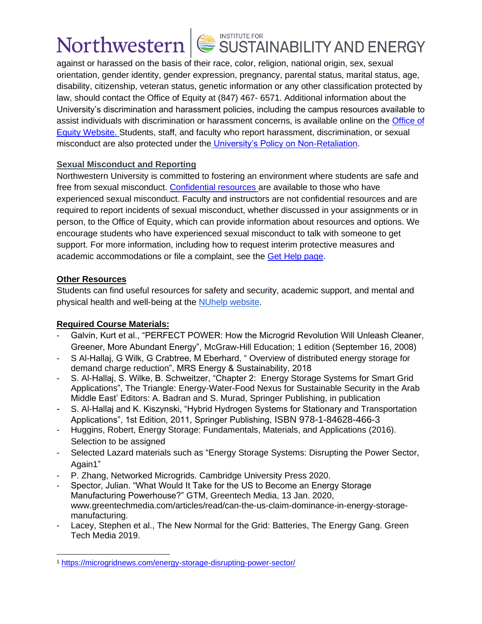# Northwestern  $\mathsf{L}$  SUSTAINABILITY AND ENERGY

against or harassed on the basis of their race, color, religion, national origin, sex, sexual orientation, gender identity, gender expression, pregnancy, parental status, marital status, age, disability, citizenship, veteran status, genetic information or any other classification protected by law, should contact the Office of Equity at (847) 467- 6571. Additional information about the University's discrimination and harassment policies, including the campus resources available to assist individuals with discrimination or harassment concerns, is available online on the [Office of](https://www.northwestern.edu/equity/)  [Equity Website.](https://www.northwestern.edu/equity/) Students, staff, and faculty who report harassment, discrimination, or sexual misconduct are also protected under the [University's Policy on Non-Retaliation.](https://policies.northwestern.edu/docs/non-retaliation-policy-FINAL.pdf)

### **Sexual Misconduct and Reporting**

Northwestern University is committed to fostering an environment where students are safe and free from sexual misconduct. [Confidential resources](https://www.northwestern.edu/sexual-misconduct/get-help/confidential-support.html) are available to those who have experienced sexual misconduct. Faculty and instructors are not confidential resources and are required to report incidents of sexual misconduct, whether discussed in your assignments or in person, to the Office of Equity, which can provide information about resources and options. We encourage students who have experienced sexual misconduct to talk with someone to get support. For more information, including how to request interim protective measures and academic accommodations or file a complaint, see the [Get Help page.](https://www.northwestern.edu/sexual-misconduct/get-help/index.html)

### **Other Resources**

Students can find useful resources for safety and security, academic support, and mental and physical health and well-being at the [NUhelp website.](https://www.northwestern.edu/nuhelp/)

## **Required Course Materials:**

- Galvin, Kurt et al., "PERFECT POWER: How the Microgrid Revolution Will Unleash Cleaner, Greener, More Abundant Energy", McGraw-Hill Education; 1 edition (September 16, 2008)
- S Al-Hallaj, G Wilk, G Crabtree, M Eberhard, " [Overview of distributed energy storage for](https://scholar.google.com/scholar?oi=bibs&cluster=13656890779685890040&btnI=1&hl=en)  [demand charge reduction"](https://scholar.google.com/scholar?oi=bibs&cluster=13656890779685890040&btnI=1&hl=en), MRS Energy & Sustainability, 2018
- S. Al-Hallaj, S. Wilke, B. Schweitzer, "Chapter 2: Energy Storage Systems for Smart Grid Applications", The Triangle: Energy-Water-Food Nexus for Sustainable Security in the Arab Middle East' Editors: A. Badran and S. Murad, Springer Publishing, in publication
- S. Al-Hallaj and K. Kiszynski, "Hybrid Hydrogen Systems for Stationary and Transportation Applications", 1st Edition, 2011, Springer Publishing, ISBN 978-1-84628-466-3
- Huggins, Robert, Energy Storage: Fundamentals, Materials, and Applications (2016). Selection to be assigned
- Selected Lazard materials such as "Energy Storage Systems: Disrupting the Power Sector, Again1"
- P. Zhang, Networked Microgrids. Cambridge University Press 2020.
- Spector, Julian. "What Would It Take for the US to Become an Energy Storage Manufacturing Powerhouse?" GTM, Greentech Media, 13 Jan. 2020, www.greentechmedia.com/articles/read/can-the-us-claim-dominance-in-energy-storagemanufacturing.
- Lacey, Stephen et al., The New Normal for the Grid: Batteries, The Energy Gang. Green Tech Media 2019.

<sup>1</sup> <https://microgridnews.com/energy-storage-disrupting-power-sector/>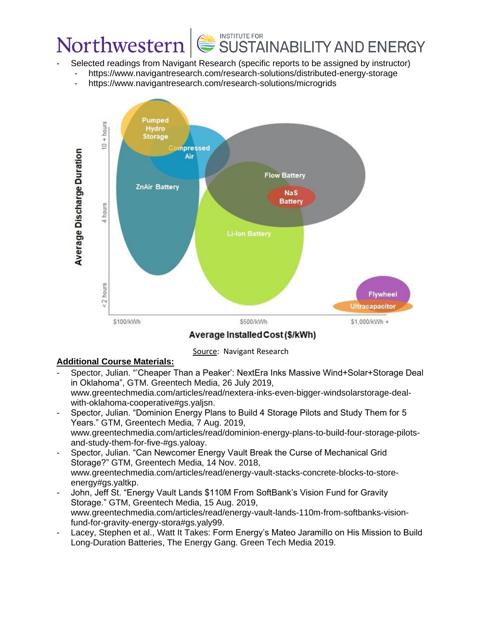## INSTITUTE FOR<br>SUSTAINABILITY AND ENERGY Northwestern

- Selected readings from Navigant Research (specific reports to be assigned by instructor)
	- <https://www.navigantresearch.com/research-solutions/distributed-energy-storage>
	- <https://www.navigantresearch.com/research-solutions/microgrids>



Average Installed Cost (\$/kWh)

Source: Navigant Research

## **Additional Course Materials:**

- Spector, Julian. "'Cheaper Than a Peaker': NextEra Inks Massive Wind+Solar+Storage Deal in Oklahoma", GTM. Greentech Media, 26 July 2019, www.greentechmedia.com/articles/read/nextera-inks-even-bigger-windsolarstorage-dealwith-oklahoma-cooperative#gs.yaljsn.
- Spector, Julian. "Dominion Energy Plans to Build 4 Storage Pilots and Study Them for 5 Years." GTM, Greentech Media, 7 Aug. 2019, www.greentechmedia.com/articles/read/dominion-energy-plans-to-build-four-storage-pilotsand-study-them-for-five-#gs.yaloay.
- Spector, Julian. "Can Newcomer Energy Vault Break the Curse of Mechanical Grid Storage?" GTM, Greentech Media, 14 Nov. 2018, www.greentechmedia.com/articles/read/energy-vault-stacks-concrete-blocks-to-storeenergy#gs.yaltkp.
- John, Jeff St. "Energy Vault Lands \$110M From SoftBank's Vision Fund for Gravity Storage." GTM, Greentech Media, 15 Aug. 2019, www.greentechmedia.com/articles/read/energy-vault-lands-110m-from-softbanks-visionfund-for-gravity-energy-stora#gs.yaly99.
- Lacey, Stephen et al., Watt It Takes: Form Energy's Mateo Jaramillo on His Mission to Build Long-Duration Batteries, The Energy Gang. Green Tech Media 2019.